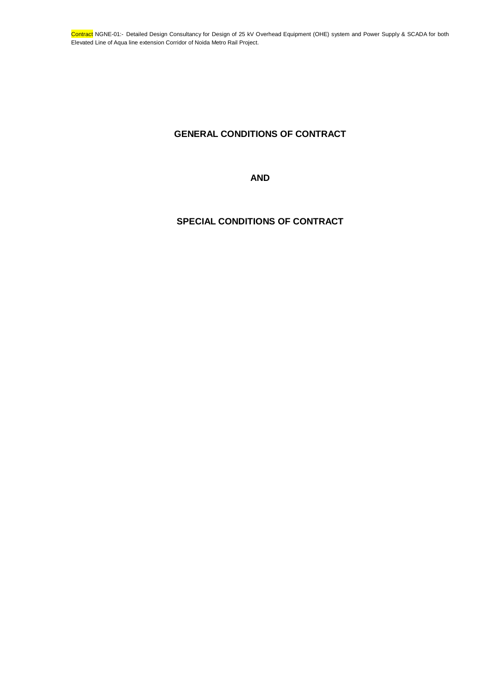# **GENERAL CONDITIONS OF CONTRACT**

**AND**

# **SPECIAL CONDITIONS OF CONTRACT**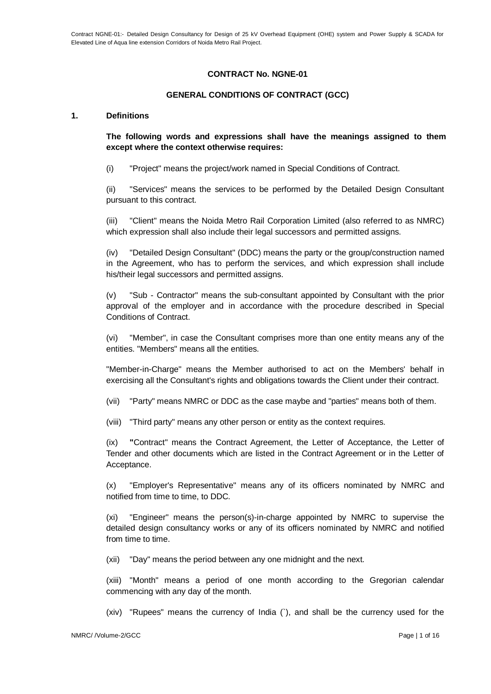# **CONTRACT No. NGNE-01**

# **GENERAL CONDITIONS OF CONTRACT (GCC)**

#### **1. Definitions**

**The following words and expressions shall have the meanings assigned to them except where the context otherwise requires:**

(i) "Project" means the project/work named in Special Conditions of Contract.

(ii) "Services" means the services to be performed by the Detailed Design Consultant pursuant to this contract.

(iii) "Client" means the Noida Metro Rail Corporation Limited (also referred to as NMRC) which expression shall also include their legal successors and permitted assigns.

(iv) "Detailed Design Consultant" (DDC) means the party or the group/construction named in the Agreement, who has to perform the services, and which expression shall include his/their legal successors and permitted assigns.

(v) "Sub - Contractor" means the sub-consultant appointed by Consultant with the prior approval of the employer and in accordance with the procedure described in Special Conditions of Contract.

(vi) "Member", in case the Consultant comprises more than one entity means any of the entities. "Members" means all the entities.

"Member-in-Charge" means the Member authorised to act on the Members' behalf in exercising all the Consultant's rights and obligations towards the Client under their contract.

(vii) "Party" means NMRC or DDC as the case maybe and "parties" means both of them.

(viii) "Third party" means any other person or entity as the context requires.

(ix) **"**Contract" means the Contract Agreement, the Letter of Acceptance, the Letter of Tender and other documents which are listed in the Contract Agreement or in the Letter of Acceptance.

(x) "Employer's Representative" means any of its officers nominated by NMRC and notified from time to time, to DDC.

(xi) "Engineer" means the person(s)-in-charge appointed by NMRC to supervise the detailed design consultancy works or any of its officers nominated by NMRC and notified from time to time.

(xii) "Day" means the period between any one midnight and the next.

(xiii) "Month" means a period of one month according to the Gregorian calendar commencing with any day of the month.

(xiv) "Rupees" means the currency of India (`), and shall be the currency used for the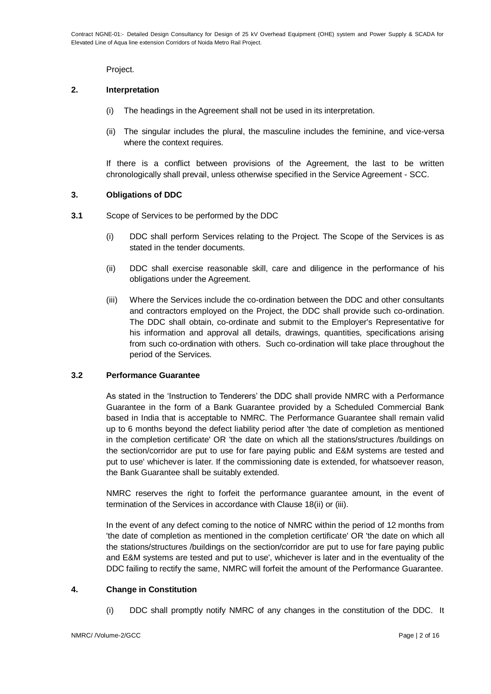Project.

### **2. Interpretation**

- (i) The headings in the Agreement shall not be used in its interpretation.
- (ii) The singular includes the plural, the masculine includes the feminine, and vice-versa where the context requires.

If there is a conflict between provisions of the Agreement, the last to be written chronologically shall prevail, unless otherwise specified in the Service Agreement - SCC.

### **3. Obligations of DDC**

- **3.1** Scope of Services to be performed by the DDC
	- (i) DDC shall perform Services relating to the Project. The Scope of the Services is as stated in the tender documents.
	- (ii) DDC shall exercise reasonable skill, care and diligence in the performance of his obligations under the Agreement.
	- (iii) Where the Services include the co-ordination between the DDC and other consultants and contractors employed on the Project, the DDC shall provide such co-ordination. The DDC shall obtain, co-ordinate and submit to the Employer's Representative for his information and approval all details, drawings, quantities, specifications arising from such co-ordination with others. Such co-ordination will take place throughout the period of the Services.

### **3.2 Performance Guarantee**

As stated in the 'Instruction to Tenderers' the DDC shall provide NMRC with a Performance Guarantee in the form of a Bank Guarantee provided by a Scheduled Commercial Bank based in India that is acceptable to NMRC. The Performance Guarantee shall remain valid up to 6 months beyond the defect liability period after 'the date of completion as mentioned in the completion certificate' OR 'the date on which all the stations/structures /buildings on the section/corridor are put to use for fare paying public and E&M systems are tested and put to use' whichever is later. If the commissioning date is extended, for whatsoever reason, the Bank Guarantee shall be suitably extended.

NMRC reserves the right to forfeit the performance guarantee amount, in the event of termination of the Services in accordance with Clause 18(ii) or (iii).

In the event of any defect coming to the notice of NMRC within the period of 12 months from 'the date of completion as mentioned in the completion certificate' OR 'the date on which all the stations/structures /buildings on the section/corridor are put to use for fare paying public and E&M systems are tested and put to use', whichever is later and in the eventuality of the DDC failing to rectify the same, NMRC will forfeit the amount of the Performance Guarantee.

# **4. Change in Constitution**

(i) DDC shall promptly notify NMRC of any changes in the constitution of the DDC. It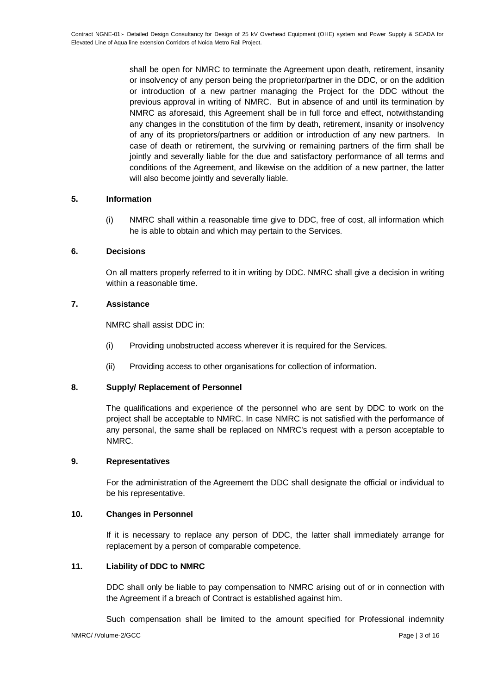shall be open for NMRC to terminate the Agreement upon death, retirement, insanity or insolvency of any person being the proprietor/partner in the DDC, or on the addition or introduction of a new partner managing the Project for the DDC without the previous approval in writing of NMRC. But in absence of and until its termination by NMRC as aforesaid, this Agreement shall be in full force and effect, notwithstanding any changes in the constitution of the firm by death, retirement, insanity or insolvency of any of its proprietors/partners or addition or introduction of any new partners. In case of death or retirement, the surviving or remaining partners of the firm shall be jointly and severally liable for the due and satisfactory performance of all terms and conditions of the Agreement, and likewise on the addition of a new partner, the latter will also become jointly and severally liable.

# **5. Information**

(i) NMRC shall within a reasonable time give to DDC, free of cost, all information which he is able to obtain and which may pertain to the Services.

# **6. Decisions**

On all matters properly referred to it in writing by DDC. NMRC shall give a decision in writing within a reasonable time.

# **7. Assistance**

NMRC shall assist DDC in:

- (i) Providing unobstructed access wherever it is required for the Services.
- (ii) Providing access to other organisations for collection of information.

# **8. Supply/ Replacement of Personnel**

The qualifications and experience of the personnel who are sent by DDC to work on the project shall be acceptable to NMRC. In case NMRC is not satisfied with the performance of any personal, the same shall be replaced on NMRC's request with a person acceptable to NMRC.

# **9. Representatives**

For the administration of the Agreement the DDC shall designate the official or individual to be his representative.

# **10. Changes in Personnel**

If it is necessary to replace any person of DDC, the latter shall immediately arrange for replacement by a person of comparable competence.

# **11. Liability of DDC to NMRC**

DDC shall only be liable to pay compensation to NMRC arising out of or in connection with the Agreement if a breach of Contract is established against him.

Such compensation shall be limited to the amount specified for Professional indemnity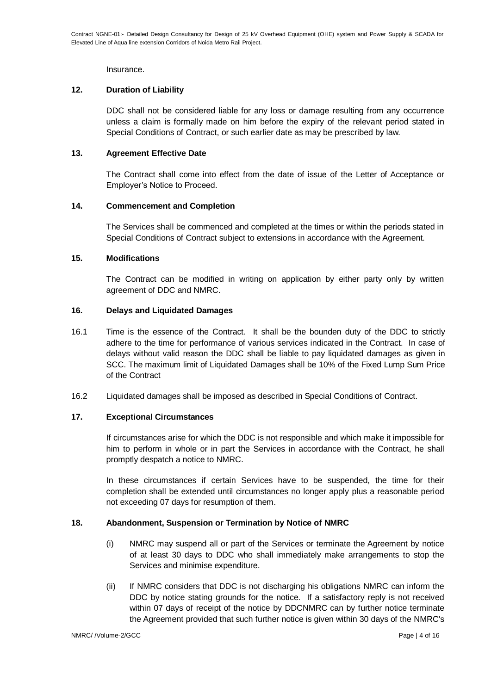**Insurance** 

# **12. Duration of Liability**

DDC shall not be considered liable for any loss or damage resulting from any occurrence unless a claim is formally made on him before the expiry of the relevant period stated in Special Conditions of Contract, or such earlier date as may be prescribed by law.

# **13. Agreement Effective Date**

The Contract shall come into effect from the date of issue of the Letter of Acceptance or Employer's Notice to Proceed.

# **14. Commencement and Completion**

The Services shall be commenced and completed at the times or within the periods stated in Special Conditions of Contract subject to extensions in accordance with the Agreement.

# **15. Modifications**

The Contract can be modified in writing on application by either party only by written agreement of DDC and NMRC.

# **16. Delays and Liquidated Damages**

- 16.1 Time is the essence of the Contract. It shall be the bounden duty of the DDC to strictly adhere to the time for performance of various services indicated in the Contract. In case of delays without valid reason the DDC shall be liable to pay liquidated damages as given in SCC. The maximum limit of Liquidated Damages shall be 10% of the Fixed Lump Sum Price of the Contract
- 16.2 Liquidated damages shall be imposed as described in Special Conditions of Contract.

# **17. Exceptional Circumstances**

If circumstances arise for which the DDC is not responsible and which make it impossible for him to perform in whole or in part the Services in accordance with the Contract, he shall promptly despatch a notice to NMRC.

In these circumstances if certain Services have to be suspended, the time for their completion shall be extended until circumstances no longer apply plus a reasonable period not exceeding 07 days for resumption of them.

# **18. Abandonment, Suspension or Termination by Notice of NMRC**

- (i) NMRC may suspend all or part of the Services or terminate the Agreement by notice of at least 30 days to DDC who shall immediately make arrangements to stop the Services and minimise expenditure.
- (ii) If NMRC considers that DDC is not discharging his obligations NMRC can inform the DDC by notice stating grounds for the notice. If a satisfactory reply is not received within 07 days of receipt of the notice by DDCNMRC can by further notice terminate the Agreement provided that such further notice is given within 30 days of the NMRC's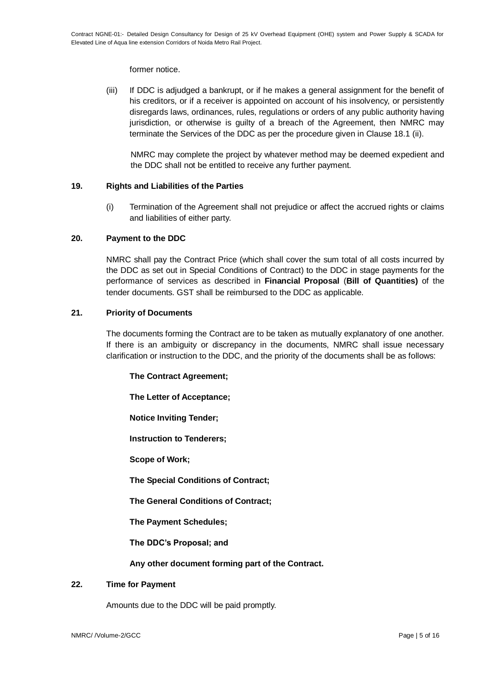former notice.

(iii) If DDC is adjudged a bankrupt, or if he makes a general assignment for the benefit of his creditors, or if a receiver is appointed on account of his insolvency, or persistently disregards laws, ordinances, rules, regulations or orders of any public authority having jurisdiction, or otherwise is guilty of a breach of the Agreement, then NMRC may terminate the Services of the DDC as per the procedure given in Clause 18.1 (ii).

NMRC may complete the project by whatever method may be deemed expedient and the DDC shall not be entitled to receive any further payment.

# **19. Rights and Liabilities of the Parties**

(i) Termination of the Agreement shall not prejudice or affect the accrued rights or claims and liabilities of either party.

# **20. Payment to the DDC**

NMRC shall pay the Contract Price (which shall cover the sum total of all costs incurred by the DDC as set out in Special Conditions of Contract) to the DDC in stage payments for the performance of services as described in **Financial Proposal** (**Bill of Quantities)** of the tender documents. GST shall be reimbursed to the DDC as applicable.

# **21. Priority of Documents**

The documents forming the Contract are to be taken as mutually explanatory of one another. If there is an ambiguity or discrepancy in the documents, NMRC shall issue necessary clarification or instruction to the DDC, and the priority of the documents shall be as follows:

**The Contract Agreement;**

**The Letter of Acceptance;**

**Notice Inviting Tender;**

**Instruction to Tenderers;**

**Scope of Work;**

**The Special Conditions of Contract;**

**The General Conditions of Contract;**

**The Payment Schedules;**

**The DDC's Proposal; and**

**Any other document forming part of the Contract.**

# **22. Time for Payment**

Amounts due to the DDC will be paid promptly.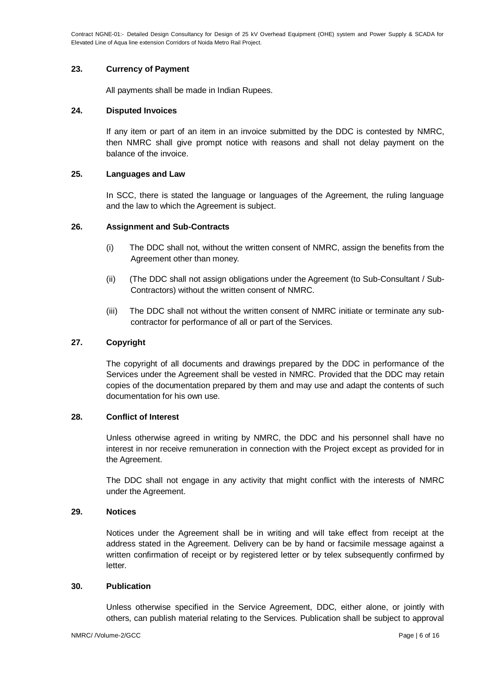Contract NGNE-01:- Detailed Design Consultancy for Design of 25 kV Overhead Equipment (OHE) system and Power Supply & SCADA for Elevated Line of Aqua line extension Corridors of Noida Metro Rail Project.

### **23. Currency of Payment**

All payments shall be made in Indian Rupees.

### **24. Disputed Invoices**

If any item or part of an item in an invoice submitted by the DDC is contested by NMRC, then NMRC shall give prompt notice with reasons and shall not delay payment on the balance of the invoice.

### **25. Languages and Law**

In SCC, there is stated the language or languages of the Agreement, the ruling language and the law to which the Agreement is subject.

### **26. Assignment and Sub-Contracts**

- (i) The DDC shall not, without the written consent of NMRC, assign the benefits from the Agreement other than money.
- (ii) (The DDC shall not assign obligations under the Agreement (to Sub-Consultant / Sub-Contractors) without the written consent of NMRC.
- (iii) The DDC shall not without the written consent of NMRC initiate or terminate any subcontractor for performance of all or part of the Services.

### **27. Copyright**

The copyright of all documents and drawings prepared by the DDC in performance of the Services under the Agreement shall be vested in NMRC. Provided that the DDC may retain copies of the documentation prepared by them and may use and adapt the contents of such documentation for his own use.

#### **28. Conflict of Interest**

Unless otherwise agreed in writing by NMRC, the DDC and his personnel shall have no interest in nor receive remuneration in connection with the Project except as provided for in the Agreement.

The DDC shall not engage in any activity that might conflict with the interests of NMRC under the Agreement.

### **29. Notices**

Notices under the Agreement shall be in writing and will take effect from receipt at the address stated in the Agreement. Delivery can be by hand or facsimile message against a written confirmation of receipt or by registered letter or by telex subsequently confirmed by letter.

### **30. Publication**

Unless otherwise specified in the Service Agreement, DDC, either alone, or jointly with others, can publish material relating to the Services. Publication shall be subject to approval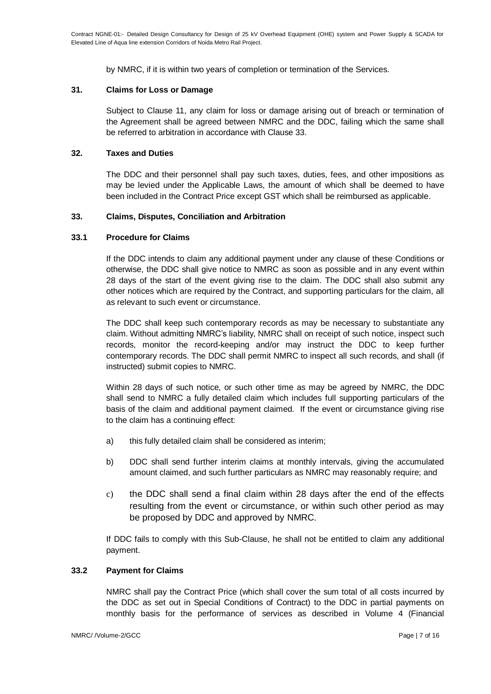by NMRC, if it is within two years of completion or termination of the Services.

### **31. Claims for Loss or Damage**

Subject to Clause 11, any claim for loss or damage arising out of breach or termination of the Agreement shall be agreed between NMRC and the DDC, failing which the same shall be referred to arbitration in accordance with Clause 33.

### **32. Taxes and Duties**

The DDC and their personnel shall pay such taxes, duties, fees, and other impositions as may be levied under the Applicable Laws, the amount of which shall be deemed to have been included in the Contract Price except GST which shall be reimbursed as applicable.

# **33. Claims, Disputes, Conciliation and Arbitration**

### **33.1 Procedure for Claims**

If the DDC intends to claim any additional payment under any clause of these Conditions or otherwise, the DDC shall give notice to NMRC as soon as possible and in any event within 28 days of the start of the event giving rise to the claim. The DDC shall also submit any other notices which are required by the Contract, and supporting particulars for the claim, all as relevant to such event or circumstance.

The DDC shall keep such contemporary records as may be necessary to substantiate any claim. Without admitting NMRC's liability, NMRC shall on receipt of such notice, inspect such records, monitor the record-keeping and/or may instruct the DDC to keep further contemporary records. The DDC shall permit NMRC to inspect all such records, and shall (if instructed) submit copies to NMRC.

Within 28 days of such notice, or such other time as may be agreed by NMRC, the DDC shall send to NMRC a fully detailed claim which includes full supporting particulars of the basis of the claim and additional payment claimed. If the event or circumstance giving rise to the claim has a continuing effect:

- a) this fully detailed claim shall be considered as interim;
- b) DDC shall send further interim claims at monthly intervals, giving the accumulated amount claimed, and such further particulars as NMRC may reasonably require; and
- c) the DDC shall send a final claim within 28 days after the end of the effects resulting from the event or circumstance, or within such other period as may be proposed by DDC and approved by NMRC.

If DDC fails to comply with this Sub-Clause, he shall not be entitled to claim any additional payment.

#### **33.2 Payment for Claims**

NMRC shall pay the Contract Price (which shall cover the sum total of all costs incurred by the DDC as set out in Special Conditions of Contract) to the DDC in partial payments on monthly basis for the performance of services as described in Volume 4 (Financial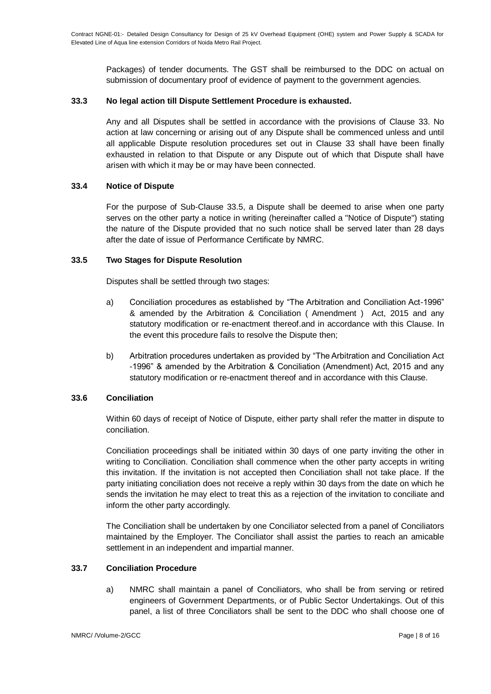Packages) of tender documents. The GST shall be reimbursed to the DDC on actual on submission of documentary proof of evidence of payment to the government agencies.

# **33.3 No legal action till Dispute Settlement Procedure is exhausted.**

Any and all Disputes shall be settled in accordance with the provisions of Clause 33. No action at law concerning or arising out of any Dispute shall be commenced unless and until all applicable Dispute resolution procedures set out in Clause 33 shall have been finally exhausted in relation to that Dispute or any Dispute out of which that Dispute shall have arisen with which it may be or may have been connected.

### **33.4 Notice of Dispute**

For the purpose of Sub-Clause 33.5, a Dispute shall be deemed to arise when one party serves on the other party a notice in writing (hereinafter called a "Notice of Dispute") stating the nature of the Dispute provided that no such notice shall be served later than 28 days after the date of issue of Performance Certificate by NMRC.

### **33.5 Two Stages for Dispute Resolution**

Disputes shall be settled through two stages:

- a) Conciliation procedures as established by "The Arbitration and Conciliation Act-1996" & amended by the Arbitration & Conciliation ( Amendment ) Act, 2015 and any statutory modification or re-enactment thereof.and in accordance with this Clause. In the event this procedure fails to resolve the Dispute then;
- b) Arbitration procedures undertaken as provided by "The Arbitration and Conciliation Act -1996" & amended by the Arbitration & Conciliation (Amendment) Act, 2015 and any statutory modification or re-enactment thereof and in accordance with this Clause.

# **33.6 Conciliation**

Within 60 days of receipt of Notice of Dispute, either party shall refer the matter in dispute to conciliation.

Conciliation proceedings shall be initiated within 30 days of one party inviting the other in writing to Conciliation. Conciliation shall commence when the other party accepts in writing this invitation. If the invitation is not accepted then Conciliation shall not take place. If the party initiating conciliation does not receive a reply within 30 days from the date on which he sends the invitation he may elect to treat this as a rejection of the invitation to conciliate and inform the other party accordingly.

The Conciliation shall be undertaken by one Conciliator selected from a panel of Conciliators maintained by the Employer. The Conciliator shall assist the parties to reach an amicable settlement in an independent and impartial manner.

# **33.7 Conciliation Procedure**

a) NMRC shall maintain a panel of Conciliators, who shall be from serving or retired engineers of Government Departments, or of Public Sector Undertakings. Out of this panel, a list of three Conciliators shall be sent to the DDC who shall choose one of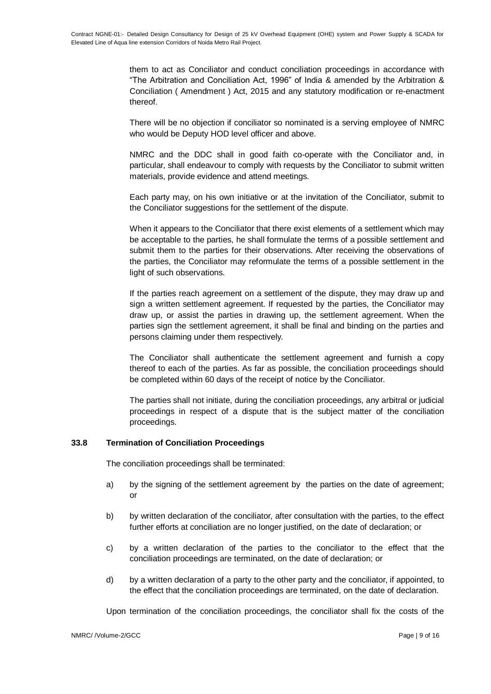them to act as Conciliator and conduct conciliation proceedings in accordance with "The Arbitration and Conciliation Act, 1996" of India & amended by the Arbitration & Conciliation ( Amendment ) Act, 2015 and any statutory modification or re-enactment thereof.

There will be no objection if conciliator so nominated is a serving employee of NMRC who would be Deputy HOD level officer and above.

NMRC and the DDC shall in good faith co-operate with the Conciliator and, in particular, shall endeavour to comply with requests by the Conciliator to submit written materials, provide evidence and attend meetings.

Each party may, on his own initiative or at the invitation of the Conciliator, submit to the Conciliator suggestions for the settlement of the dispute.

When it appears to the Conciliator that there exist elements of a settlement which may be acceptable to the parties, he shall formulate the terms of a possible settlement and submit them to the parties for their observations. After receiving the observations of the parties, the Conciliator may reformulate the terms of a possible settlement in the light of such observations.

If the parties reach agreement on a settlement of the dispute, they may draw up and sign a written settlement agreement. If requested by the parties, the Conciliator may draw up, or assist the parties in drawing up, the settlement agreement. When the parties sign the settlement agreement, it shall be final and binding on the parties and persons claiming under them respectively.

The Conciliator shall authenticate the settlement agreement and furnish a copy thereof to each of the parties. As far as possible, the conciliation proceedings should be completed within 60 days of the receipt of notice by the Conciliator.

The parties shall not initiate, during the conciliation proceedings, any arbitral or judicial proceedings in respect of a dispute that is the subject matter of the conciliation proceedings.

# **33.8 Termination of Conciliation Proceedings**

The conciliation proceedings shall be terminated:

- a) by the signing of the settlement agreement by the parties on the date of agreement; or
- b) by written declaration of the conciliator, after consultation with the parties, to the effect further efforts at conciliation are no longer justified, on the date of declaration; or
- c) by a written declaration of the parties to the conciliator to the effect that the conciliation proceedings are terminated, on the date of declaration; or
- d) by a written declaration of a party to the other party and the conciliator, if appointed, to the effect that the conciliation proceedings are terminated, on the date of declaration.

Upon termination of the conciliation proceedings, the conciliator shall fix the costs of the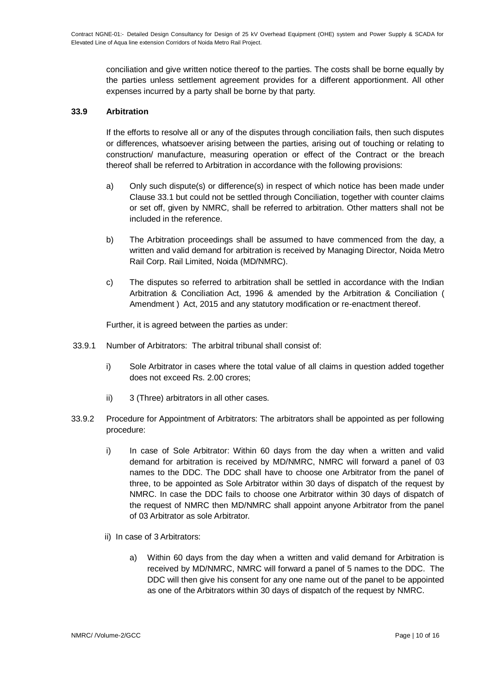conciliation and give written notice thereof to the parties. The costs shall be borne equally by the parties unless settlement agreement provides for a different apportionment. All other expenses incurred by a party shall be borne by that party.

### **33.9 Arbitration**

If the efforts to resolve all or any of the disputes through conciliation fails, then such disputes or differences, whatsoever arising between the parties, arising out of touching or relating to construction/ manufacture, measuring operation or effect of the Contract or the breach thereof shall be referred to Arbitration in accordance with the following provisions:

- a) Only such dispute(s) or difference(s) in respect of which notice has been made under Clause 33.1 but could not be settled through Conciliation, together with counter claims or set off, given by NMRC, shall be referred to arbitration. Other matters shall not be included in the reference.
- b) The Arbitration proceedings shall be assumed to have commenced from the day, a written and valid demand for arbitration is received by Managing Director, Noida Metro Rail Corp. Rail Limited, Noida (MD/NMRC).
- c) The disputes so referred to arbitration shall be settled in accordance with the Indian Arbitration & Conciliation Act, 1996 & amended by the Arbitration & Conciliation ( Amendment ) Act, 2015 and any statutory modification or re-enactment thereof.

Further, it is agreed between the parties as under:

- 33.9.1 Number of Arbitrators: The arbitral tribunal shall consist of:
	- i) Sole Arbitrator in cases where the total value of all claims in question added together does not exceed Rs. 2.00 crores;
	- ii) 3 (Three) arbitrators in all other cases.
- 33.9.2 Procedure for Appointment of Arbitrators: The arbitrators shall be appointed as per following procedure:
	- i) In case of Sole Arbitrator: Within 60 days from the day when a written and valid demand for arbitration is received by MD/NMRC, NMRC will forward a panel of 03 names to the DDC. The DDC shall have to choose one Arbitrator from the panel of three, to be appointed as Sole Arbitrator within 30 days of dispatch of the request by NMRC. In case the DDC fails to choose one Arbitrator within 30 days of dispatch of the request of NMRC then MD/NMRC shall appoint anyone Arbitrator from the panel of 03 Arbitrator as sole Arbitrator.
	- ii) In case of 3 Arbitrators:
		- a) Within 60 days from the day when a written and valid demand for Arbitration is received by MD/NMRC, NMRC will forward a panel of 5 names to the DDC. The DDC will then give his consent for any one name out of the panel to be appointed as one of the Arbitrators within 30 days of dispatch of the request by NMRC.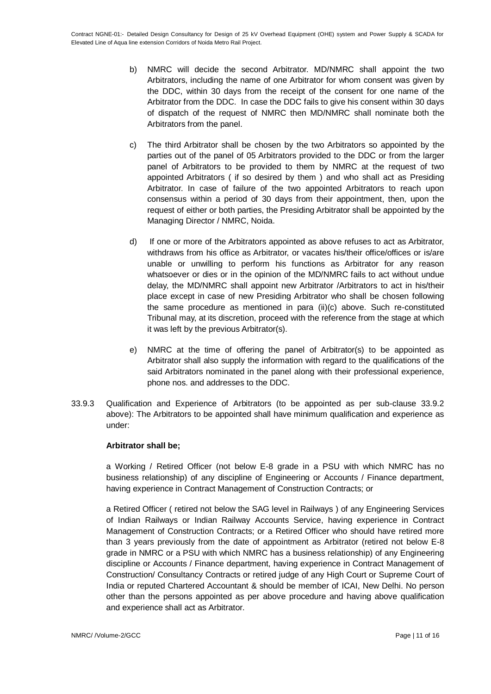- b) NMRC will decide the second Arbitrator. MD/NMRC shall appoint the two Arbitrators, including the name of one Arbitrator for whom consent was given by the DDC, within 30 days from the receipt of the consent for one name of the Arbitrator from the DDC. In case the DDC fails to give his consent within 30 days of dispatch of the request of NMRC then MD/NMRC shall nominate both the Arbitrators from the panel.
- c) The third Arbitrator shall be chosen by the two Arbitrators so appointed by the parties out of the panel of 05 Arbitrators provided to the DDC or from the larger panel of Arbitrators to be provided to them by NMRC at the request of two appointed Arbitrators ( if so desired by them ) and who shall act as Presiding Arbitrator. In case of failure of the two appointed Arbitrators to reach upon consensus within a period of 30 days from their appointment, then, upon the request of either or both parties, the Presiding Arbitrator shall be appointed by the Managing Director / NMRC, Noida.
- d) If one or more of the Arbitrators appointed as above refuses to act as Arbitrator, withdraws from his office as Arbitrator, or vacates his/their office/offices or is/are unable or unwilling to perform his functions as Arbitrator for any reason whatsoever or dies or in the opinion of the MD/NMRC fails to act without undue delay, the MD/NMRC shall appoint new Arbitrator /Arbitrators to act in his/their place except in case of new Presiding Arbitrator who shall be chosen following the same procedure as mentioned in para (ii)(c) above. Such re-constituted Tribunal may, at its discretion, proceed with the reference from the stage at which it was left by the previous Arbitrator(s).
- e) NMRC at the time of offering the panel of Arbitrator(s) to be appointed as Arbitrator shall also supply the information with regard to the qualifications of the said Arbitrators nominated in the panel along with their professional experience, phone nos. and addresses to the DDC.
- 33.9.3 Qualification and Experience of Arbitrators (to be appointed as per sub-clause 33.9.2 above): The Arbitrators to be appointed shall have minimum qualification and experience as under:

# **Arbitrator shall be;**

a Working / Retired Officer (not below E-8 grade in a PSU with which NMRC has no business relationship) of any discipline of Engineering or Accounts / Finance department, having experience in Contract Management of Construction Contracts; or

a Retired Officer ( retired not below the SAG level in Railways ) of any Engineering Services of Indian Railways or Indian Railway Accounts Service, having experience in Contract Management of Construction Contracts; or a Retired Officer who should have retired more than 3 years previously from the date of appointment as Arbitrator (retired not below E-8 grade in NMRC or a PSU with which NMRC has a business relationship) of any Engineering discipline or Accounts / Finance department, having experience in Contract Management of Construction/ Consultancy Contracts or retired judge of any High Court or Supreme Court of India or reputed Chartered Accountant & should be member of ICAI, New Delhi. No person other than the persons appointed as per above procedure and having above qualification and experience shall act as Arbitrator.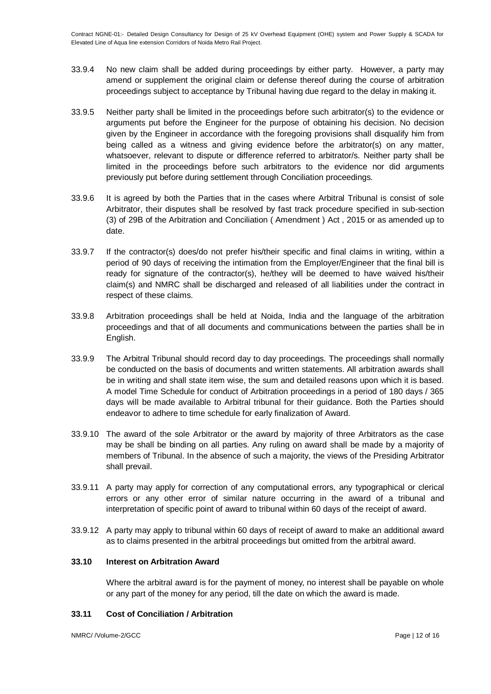- 33.9.4 No new claim shall be added during proceedings by either party. However, a party may amend or supplement the original claim or defense thereof during the course of arbitration proceedings subject to acceptance by Tribunal having due regard to the delay in making it.
- 33.9.5 Neither party shall be limited in the proceedings before such arbitrator(s) to the evidence or arguments put before the Engineer for the purpose of obtaining his decision. No decision given by the Engineer in accordance with the foregoing provisions shall disqualify him from being called as a witness and giving evidence before the arbitrator(s) on any matter, whatsoever, relevant to dispute or difference referred to arbitrator/s. Neither party shall be limited in the proceedings before such arbitrators to the evidence nor did arguments previously put before during settlement through Conciliation proceedings.
- 33.9.6 It is agreed by both the Parties that in the cases where Arbitral Tribunal is consist of sole Arbitrator, their disputes shall be resolved by fast track procedure specified in sub-section (3) of 29B of the Arbitration and Conciliation ( Amendment ) Act , 2015 or as amended up to date.
- 33.9.7 If the contractor(s) does/do not prefer his/their specific and final claims in writing, within a period of 90 days of receiving the intimation from the Employer/Engineer that the final bill is ready for signature of the contractor(s), he/they will be deemed to have waived his/their claim(s) and NMRC shall be discharged and released of all liabilities under the contract in respect of these claims.
- 33.9.8 Arbitration proceedings shall be held at Noida, India and the language of the arbitration proceedings and that of all documents and communications between the parties shall be in English.
- 33.9.9 The Arbitral Tribunal should record day to day proceedings. The proceedings shall normally be conducted on the basis of documents and written statements. All arbitration awards shall be in writing and shall state item wise, the sum and detailed reasons upon which it is based. A model Time Schedule for conduct of Arbitration proceedings in a period of 180 days / 365 days will be made available to Arbitral tribunal for their guidance. Both the Parties should endeavor to adhere to time schedule for early finalization of Award.
- 33.9.10 The award of the sole Arbitrator or the award by majority of three Arbitrators as the case may be shall be binding on all parties. Any ruling on award shall be made by a majority of members of Tribunal. In the absence of such a majority, the views of the Presiding Arbitrator shall prevail.
- 33.9.11 A party may apply for correction of any computational errors, any typographical or clerical errors or any other error of similar nature occurring in the award of a tribunal and interpretation of specific point of award to tribunal within 60 days of the receipt of award.
- 33.9.12 A party may apply to tribunal within 60 days of receipt of award to make an additional award as to claims presented in the arbitral proceedings but omitted from the arbitral award.

# **33.10 Interest on Arbitration Award**

Where the arbitral award is for the payment of money, no interest shall be payable on whole or any part of the money for any period, till the date on which the award is made.

# **33.11 Cost of Conciliation / Arbitration**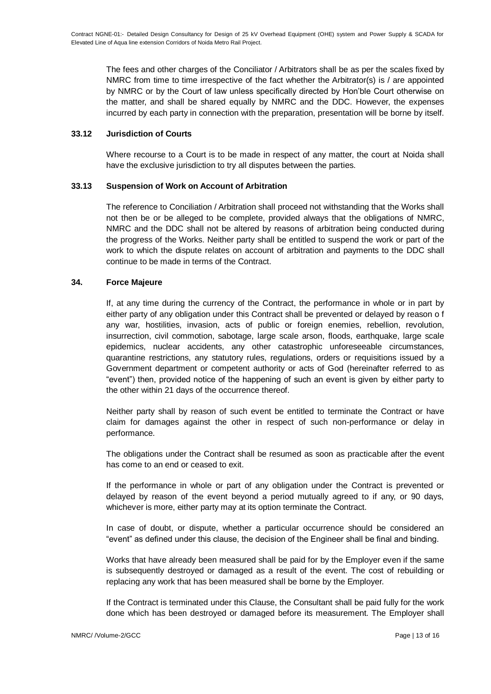The fees and other charges of the Conciliator / Arbitrators shall be as per the scales fixed by NMRC from time to time irrespective of the fact whether the Arbitrator(s) is / are appointed by NMRC or by the Court of law unless specifically directed by Hon'ble Court otherwise on the matter, and shall be shared equally by NMRC and the DDC. However, the expenses incurred by each party in connection with the preparation, presentation will be borne by itself.

### **33.12 Jurisdiction of Courts**

Where recourse to a Court is to be made in respect of any matter, the court at Noida shall have the exclusive jurisdiction to try all disputes between the parties.

### **33.13 Suspension of Work on Account of Arbitration**

The reference to Conciliation / Arbitration shall proceed not withstanding that the Works shall not then be or be alleged to be complete, provided always that the obligations of NMRC, NMRC and the DDC shall not be altered by reasons of arbitration being conducted during the progress of the Works. Neither party shall be entitled to suspend the work or part of the work to which the dispute relates on account of arbitration and payments to the DDC shall continue to be made in terms of the Contract.

### **34. Force Majeure**

If, at any time during the currency of the Contract, the performance in whole or in part by either party of any obligation under this Contract shall be prevented or delayed by reason o f any war, hostilities, invasion, acts of public or foreign enemies, rebellion, revolution, insurrection, civil commotion, sabotage, large scale arson, floods, earthquake, large scale epidemics, nuclear accidents, any other catastrophic unforeseeable circumstances, quarantine restrictions, any statutory rules, regulations, orders or requisitions issued by a Government department or competent authority or acts of God (hereinafter referred to as "event") then, provided notice of the happening of such an event is given by either party to the other within 21 days of the occurrence thereof.

Neither party shall by reason of such event be entitled to terminate the Contract or have claim for damages against the other in respect of such non-performance or delay in performance.

The obligations under the Contract shall be resumed as soon as practicable after the event has come to an end or ceased to exit.

If the performance in whole or part of any obligation under the Contract is prevented or delayed by reason of the event beyond a period mutually agreed to if any, or 90 days, whichever is more, either party may at its option terminate the Contract.

In case of doubt, or dispute, whether a particular occurrence should be considered an "event" as defined under this clause, the decision of the Engineer shall be final and binding.

Works that have already been measured shall be paid for by the Employer even if the same is subsequently destroyed or damaged as a result of the event. The cost of rebuilding or replacing any work that has been measured shall be borne by the Employer.

If the Contract is terminated under this Clause, the Consultant shall be paid fully for the work done which has been destroyed or damaged before its measurement. The Employer shall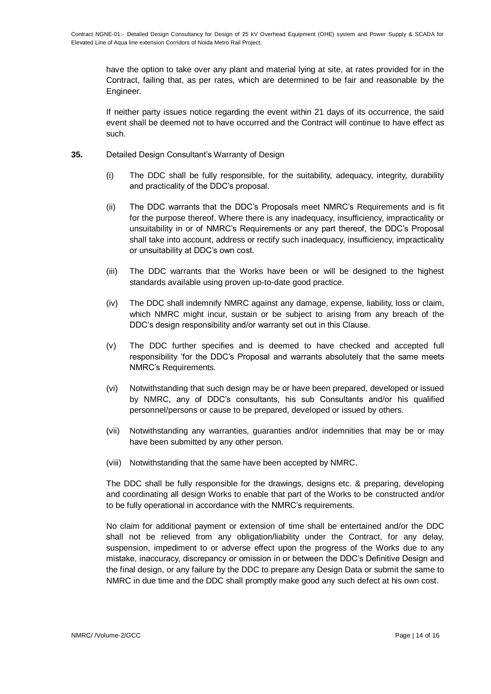have the option to take over any plant and material lying at site, at rates provided for in the Contract, failing that, as per rates, which are determined to be fair and reasonable by the Engineer.

If neither party issues notice regarding the event within 21 days of its occurrence, the said event shall be deemed not to have occurred and the Contract will continue to have effect as such.

- **35.** Detailed Design Consultant's Warranty of Design
	- (i) The DDC shall be fully responsible, for the suitability, adequacy, integrity, durability and practicality of the DDC's proposal.
	- (ii) The DDC warrants that the DDC's Proposals meet NMRC's Requirements and is fit for the purpose thereof. Where there is any inadequacy, insufficiency, impracticality or unsuitability in or of NMRC's Requirements or any part thereof, the DDC's Proposal shall take into account, address or rectify such inadequacy, insufficiency, impracticality or unsuitability at DDC's own cost.
	- (iii) The DDC warrants that the Works have been or will be designed to the highest standards available using proven up-to-date good practice.
	- (iv) The DDC shall indemnify NMRC against any damage, expense, liability, loss or claim, which NMRC might incur, sustain or be subject to arising from any breach of the DDC's design responsibility and/or warranty set out in this Clause.
	- (v) The DDC further specifies and is deemed to have checked and accepted full responsibility 'for the DDC's Proposal and warrants absolutely that the same meets NMRC's Requirements.
	- (vi) Notwithstanding that such design may be or have been prepared, developed or issued by NMRC, any of DDC's consultants, his sub Consultants and/or his qualified personnel/persons or cause to be prepared, developed or issued by others.
	- (vii) Notwithstanding any warranties, guaranties and/or indemnities that may be or may have been submitted by any other person.
	- (viii) Notwithstanding that the same have been accepted by NMRC.

The DDC shall be fully responsible for the drawings, designs etc. & preparing, developing and coordinating all design Works to enable that part of the Works to be constructed and/or to be fully operational in accordance with the NMRC's requirements.

No claim for additional payment or extension of time shall be entertained and/or the DDC shall not be relieved from any obligation/liability under the Contract, for any delay, suspension, impediment to or adverse effect upon the progress of the Works due to any mistake, inaccuracy, discrepancy or omission in or between the DDC's Definitive Design and the final design, or any failure by the DDC to prepare any Design Data or submit the same to NMRC in due time and the DDC shall promptly make good any such defect at his own cost.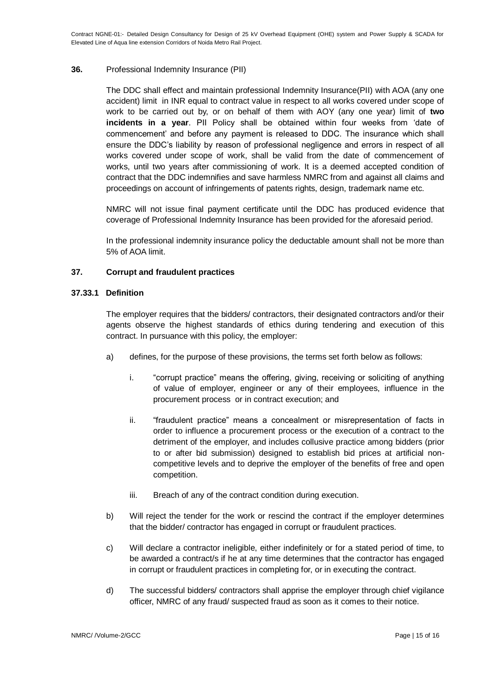Contract NGNE-01:- Detailed Design Consultancy for Design of 25 kV Overhead Equipment (OHE) system and Power Supply & SCADA for Elevated Line of Aqua line extension Corridors of Noida Metro Rail Project.

### **36.** Professional Indemnity Insurance (PII)

The DDC shall effect and maintain professional Indemnity Insurance(PII) with AOA (any one accident) limit in INR equal to contract value in respect to all works covered under scope of work to be carried out by, or on behalf of them with AOY (any one year) limit of **two incidents in a year**. PII Policy shall be obtained within four weeks from 'date of commencement' and before any payment is released to DDC. The insurance which shall ensure the DDC's liability by reason of professional negligence and errors in respect of all works covered under scope of work, shall be valid from the date of commencement of works, until two years after commissioning of work. It is a deemed accepted condition of contract that the DDC indemnifies and save harmless NMRC from and against all claims and proceedings on account of infringements of patents rights, design, trademark name etc.

NMRC will not issue final payment certificate until the DDC has produced evidence that coverage of Professional Indemnity Insurance has been provided for the aforesaid period.

In the professional indemnity insurance policy the deductable amount shall not be more than 5% of AOA limit.

### **37. Corrupt and fraudulent practices**

#### **37.33.1 Definition**

The employer requires that the bidders/ contractors, their designated contractors and/or their agents observe the highest standards of ethics during tendering and execution of this contract. In pursuance with this policy, the employer:

- a) defines, for the purpose of these provisions, the terms set forth below as follows:
	- i. "corrupt practice" means the offering, giving, receiving or soliciting of anything of value of employer, engineer or any of their employees, influence in the procurement process or in contract execution; and
	- ii. "fraudulent practice" means a concealment or misrepresentation of facts in order to influence a procurement process or the execution of a contract to the detriment of the employer, and includes collusive practice among bidders (prior to or after bid submission) designed to establish bid prices at artificial noncompetitive levels and to deprive the employer of the benefits of free and open competition.
	- iii. Breach of any of the contract condition during execution.
- b) Will reject the tender for the work or rescind the contract if the employer determines that the bidder/ contractor has engaged in corrupt or fraudulent practices.
- c) Will declare a contractor ineligible, either indefinitely or for a stated period of time, to be awarded a contract/s if he at any time determines that the contractor has engaged in corrupt or fraudulent practices in completing for, or in executing the contract.
- d) The successful bidders/ contractors shall apprise the employer through chief vigilance officer, NMRC of any fraud/ suspected fraud as soon as it comes to their notice.